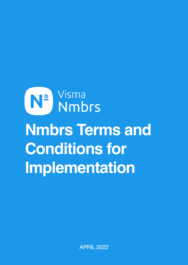## N<sup>o</sup> Visma<br>No Nmbrs **Nmbrs Terms and Conditions for Implementation**

APRIL 2022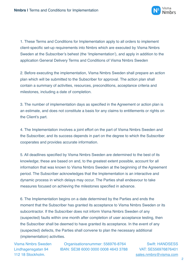

1. These Terms and Conditions for Implementation apply to all orders to implement client-specific set-up requirements into Nmbrs which are executed by Visma Nmbrs Sweden at the Subscriber's behest (the 'Implementation'), and apply in addition to the application General Delivery Terms and Conditions of Visma Nmbrs Sweden

2. Before executing the implementation, Visma Nmbrs Sweden shall prepare an action plan which will be submitted to the Subscriber for approval. The action plan shall contain a summary of activities, resources, preconditions, acceptance criteria and milestones, including a date of completion.

3. The number of implementation days as specified in the Agreement or action plan is an estimate, and does not constitute a basis for any claims to entitlements or rights on the Client's part.

4. The Implementation involves a joint effort on the part of Visma Nmbrs Sweden and the Subscriber, and its success depends in part on the degree to which the Subscriber cooperates and provides accurate information.

5. All deadlines specified by Visma Nmbrs Sweden are determined to the best of its knowledge; these are based on and, to the greatest extent possible, account for all information that was known to Visma Nmbrs Sweden at the beginning of the Agreement period. The Subscriber acknowledges that the Implementation is an interactive and dynamic process in which delays may occur. The Parties shall endeavour to take measures focused on achieving the milestones specified in advance.

6. The Implementation begins on a date determined by the Parties and ends the moment that the Subscriber has granted its acceptance to Visma Nmbrs Sweden or its subcontractor. If the Subscriber does not inform Visma Nmbrs Sweden of any (suspected) faults within one month after completion of user acceptance testing, then the Subscriber shall be deemed to have granted its acceptance. In the event of any (suspected) defects, the Parties shall convene to plan the necessary additional (implementation) activities.

Visma Nmbrs Sweden Organisationsnummer: 556976-8764 Swift: HANDSESS Lindhagensgatan 94 IBAN: SE38 6000 0000 0008 4643 3788 VAT: SE556976876401

112 18 Stockholm. Sales.nmbrs@visma.com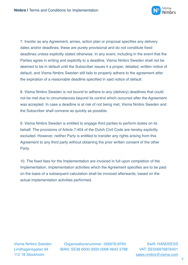

7. Insofar as any Agreement, annex, action plan or proposal specifies any delivery dates and/or deadlines, these are purely provisional and do not constitute fixed deadlines unless explicitly stated otherwise. In any event, including in the event that the Parties agree in writing and explicitly to a deadline, Visma Nmbrs Sweden shall not be deemed to be in default until the Subscriber issues it a proper, detailed, written notice of default, and Visma Nmbrs Sweden still fails to properly adhere to the agreement after the expiration of a reasonable deadline specified in said notice of default.

8. Visma Nmbrs Sweden is not bound to adhere to any (delivery) deadlines that could not be met due to circumstances beyond its control which occurred after the Agreement was accepted. In case a deadline is at risk of not being met, Visma Nmbrs Sweden and the Subscriber shall convene as quickly as possible.

9. Visma Nmbrs Sweden is entitled to engage third parties to perform duties on its behalf. The provisions of Article 7:404 of the Dutch Civil Code are hereby explicitly excluded. However, neither Party is entitled to transfer any rights arising from this Agreement to any third party without obtaining the prior written consent of the other Party.

10. The fixed fees for the Implementation are invoiced in full upon completion of the Implementation. Implementation activities which the Agreement specifies are to be paid on the basis of a subsequent calculation shall be invoiced afterwards, based on the actual implementation activities performed.

Visma Nmbrs Sweden Organisationsnummer: 556976-8764 Swift: HANDSESS Lindhagensgatan 94 IBAN: SE38 6000 0000 0008 4643 3788 VAT: SE556976876401

112 18 Stockholm. Sales.nmbrs@visma.com